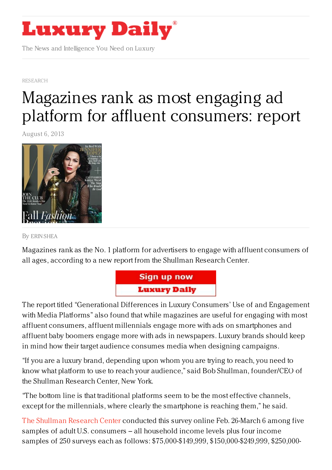

The News and Intelligence You Need on Luxury

[RESEARCH](https://www.luxurydaily.com/category/news/print/)

## Magazines rank as most engaging ad platform for affluent [consumers:](https://www.luxurydaily.com/magazines-rank-as-no-1-platform-to-engage-with-affluent-consumers-via-ads-report/) report

August 6, 2013



By ERIN [SHEA](/author/erin-shea)

Magazines rank as the No. 1 platform for advertisers to engage with affluent consumers of all ages, according to a new report from the Shullman Research Center.



The report titled "Generational Differences in Luxury Consumers' Use of and Engagement with Media Platforms" also found that while magazines are useful for engaging with most affluent consumers, affluent millennials engage more with ads on smartphones and affluent baby boomers engage more with ads in newspapers. Luxury brands should keep in mind how their target audience consumes media when designing campaigns.

"If you are a luxury brand, depending upon whom you are trying to reach, you need to know what platform to use to reach your audience," said Bob Shullman, founder/CEO of the Shullman Research Center, New York.

"The bottom line is that traditional platforms seem to be the most effective channels, except for the millennials, where clearly the smartphone is reaching them," he said.

The [Shullman]( http://www.shullman.net/) Research Center conducted this survey online Feb. 26-March 6 among five samples of adult U.S. consumers – all household income levels plus four income samples of 250 surveys each as follows: \$75,000-\$149,999, \$150,000-\$249,999, \$250,000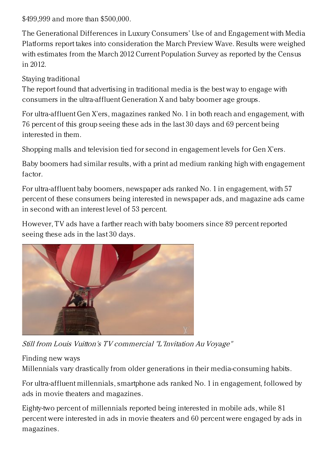\$499,999 and more than \$500,000.

The Generational Differences in Luxury Consumers' Use of and Engagement with Media Platforms report takes into consideration the March Preview Wave. Results were weighed with estimates from the March 2012 Current Population Survey as reported by the Census in 2012.

Staying traditional

The report found that advertising in traditional media is the best way to engage with consumers in the ultra-affluent Generation X and baby boomer age groups.

For ultra-affluent Gen X'ers, magazines ranked No. 1 in both reach and engagement, with 76 percent of this group seeing these ads in the last 30 days and 69 percent being interested in them.

Shopping malls and television tied for second in engagement levels for Gen X'ers.

Baby boomers had similar results, with a print ad medium ranking high with engagement factor.

For ultra-affluent baby boomers, newspaper ads ranked No. 1 in engagement, with 57 percent of these consumers being interested in newspaper ads, and magazine ads came in second with an interest level of 53 percent.

However, TV ads have a farther reach with baby boomers since 89 percent reported seeing these ads in the last 30 days.



Still from Louis Vuitton's TV commercial "L'Invitation Au Voyage"

Finding new ways

Millennials vary drastically from older generations in their media-consuming habits.

For ultra-affluent millennials, smartphone ads ranked No. 1 in engagement, followed by ads in movie theaters and magazines.

Eighty-two percent of millennials reported being interested in mobile ads, while 81 percent were interested in ads in movie theaters and 60 percent were engaged by ads in magazines.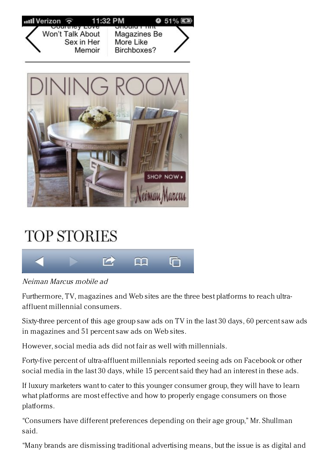



## **TOP STORIES**



Neiman Marcus mobile ad

Furthermore, TV, magazines and Web sites are the three best platforms to reach ultraaffluent millennial consumers.

Sixty-three percent of this age group saw ads on TV in the last 30 days, 60 percent saw ads in magazines and 51 percent saw ads on Web sites.

However, social media ads did not fair as well with millennials.

Forty-five percent of ultra-affluent millennials reported seeing ads on Facebook or other social media in the last 30 days, while 15 percent said they had an interest in these ads.

If luxury marketers want to cater to this younger consumer group, they will have to learn what platforms are most effective and how to properly engage consumers on those platforms.

"Consumers have different preferences depending on their age group," Mr. Shullman said.

"Many brands are dismissing traditional advertising means, but the issue is as digital and